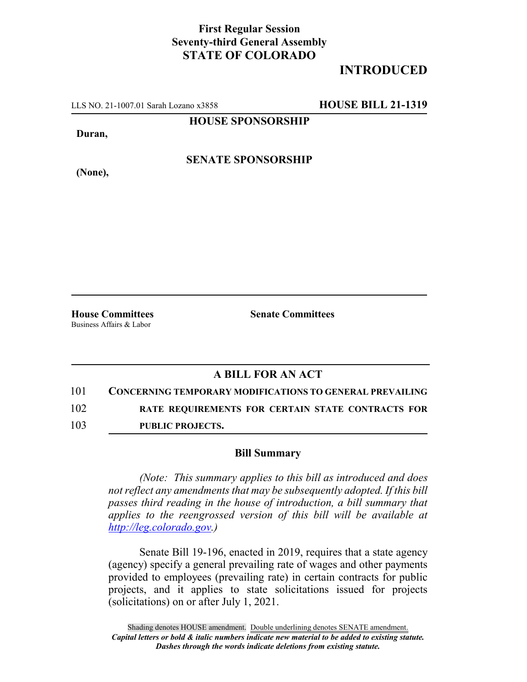## **First Regular Session Seventy-third General Assembly STATE OF COLORADO**

## **INTRODUCED**

LLS NO. 21-1007.01 Sarah Lozano x3858 **HOUSE BILL 21-1319**

**HOUSE SPONSORSHIP**

**Duran,**

**(None),**

**SENATE SPONSORSHIP**

Business Affairs & Labor

**House Committees Senate Committees**

## **A BILL FOR AN ACT**

101 **CONCERNING TEMPORARY MODIFICATIONS TO GENERAL PREVAILING**

102 **RATE REQUIREMENTS FOR CERTAIN STATE CONTRACTS FOR**

103 **PUBLIC PROJECTS.**

## **Bill Summary**

*(Note: This summary applies to this bill as introduced and does not reflect any amendments that may be subsequently adopted. If this bill passes third reading in the house of introduction, a bill summary that applies to the reengrossed version of this bill will be available at http://leg.colorado.gov.)*

Senate Bill 19-196, enacted in 2019, requires that a state agency (agency) specify a general prevailing rate of wages and other payments provided to employees (prevailing rate) in certain contracts for public projects, and it applies to state solicitations issued for projects (solicitations) on or after July 1, 2021.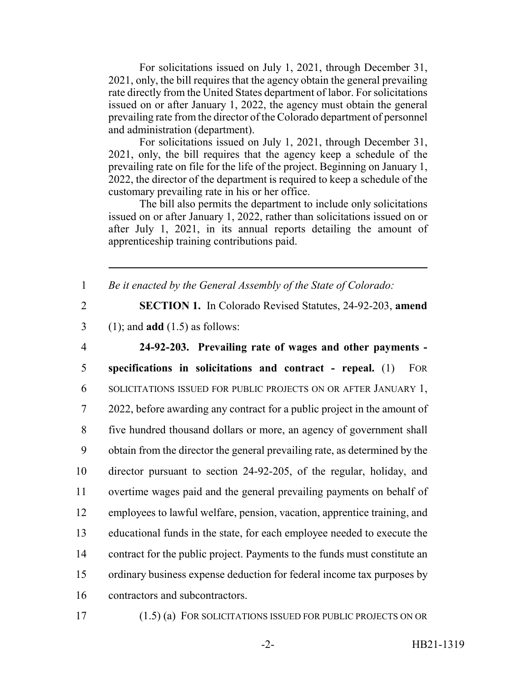For solicitations issued on July 1, 2021, through December 31, 2021, only, the bill requires that the agency obtain the general prevailing rate directly from the United States department of labor. For solicitations issued on or after January 1, 2022, the agency must obtain the general prevailing rate from the director of the Colorado department of personnel and administration (department).

For solicitations issued on July 1, 2021, through December 31, 2021, only, the bill requires that the agency keep a schedule of the prevailing rate on file for the life of the project. Beginning on January 1, 2022, the director of the department is required to keep a schedule of the customary prevailing rate in his or her office.

The bill also permits the department to include only solicitations issued on or after January 1, 2022, rather than solicitations issued on or after July 1, 2021, in its annual reports detailing the amount of apprenticeship training contributions paid.

1 *Be it enacted by the General Assembly of the State of Colorado:*

2 **SECTION 1.** In Colorado Revised Statutes, 24-92-203, **amend**

3 (1); and **add** (1.5) as follows:

 **24-92-203. Prevailing rate of wages and other payments - specifications in solicitations and contract - repeal.** (1) FOR SOLICITATIONS ISSUED FOR PUBLIC PROJECTS ON OR AFTER JANUARY 1, 2022, before awarding any contract for a public project in the amount of five hundred thousand dollars or more, an agency of government shall obtain from the director the general prevailing rate, as determined by the director pursuant to section 24-92-205, of the regular, holiday, and overtime wages paid and the general prevailing payments on behalf of employees to lawful welfare, pension, vacation, apprentice training, and educational funds in the state, for each employee needed to execute the contract for the public project. Payments to the funds must constitute an ordinary business expense deduction for federal income tax purposes by contractors and subcontractors.

17 (1.5) (a) FOR SOLICITATIONS ISSUED FOR PUBLIC PROJECTS ON OR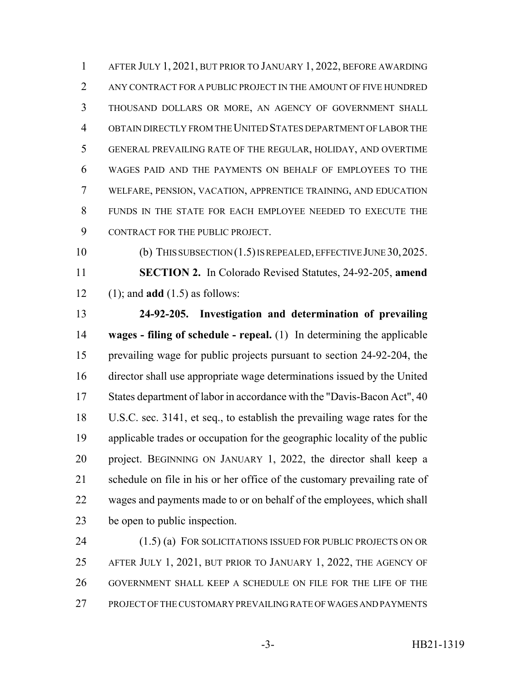AFTER JULY 1, 2021, BUT PRIOR TO JANUARY 1, 2022, BEFORE AWARDING ANY CONTRACT FOR A PUBLIC PROJECT IN THE AMOUNT OF FIVE HUNDRED THOUSAND DOLLARS OR MORE, AN AGENCY OF GOVERNMENT SHALL OBTAIN DIRECTLY FROM THE UNITED STATES DEPARTMENT OF LABOR THE GENERAL PREVAILING RATE OF THE REGULAR, HOLIDAY, AND OVERTIME WAGES PAID AND THE PAYMENTS ON BEHALF OF EMPLOYEES TO THE WELFARE, PENSION, VACATION, APPRENTICE TRAINING, AND EDUCATION FUNDS IN THE STATE FOR EACH EMPLOYEE NEEDED TO EXECUTE THE CONTRACT FOR THE PUBLIC PROJECT.

 (b) THIS SUBSECTION (1.5) IS REPEALED, EFFECTIVE JUNE 30,2025. **SECTION 2.** In Colorado Revised Statutes, 24-92-205, **amend** (1); and **add** (1.5) as follows:

 **24-92-205. Investigation and determination of prevailing wages - filing of schedule - repeal.** (1) In determining the applicable prevailing wage for public projects pursuant to section 24-92-204, the director shall use appropriate wage determinations issued by the United 17 States department of labor in accordance with the "Davis-Bacon Act", 40 U.S.C. sec. 3141, et seq., to establish the prevailing wage rates for the applicable trades or occupation for the geographic locality of the public project. BEGINNING ON JANUARY 1, 2022, the director shall keep a schedule on file in his or her office of the customary prevailing rate of wages and payments made to or on behalf of the employees, which shall be open to public inspection.

 (1.5) (a) FOR SOLICITATIONS ISSUED FOR PUBLIC PROJECTS ON OR AFTER JULY 1, 2021, BUT PRIOR TO JANUARY 1, 2022, THE AGENCY OF GOVERNMENT SHALL KEEP A SCHEDULE ON FILE FOR THE LIFE OF THE PROJECT OF THE CUSTOMARY PREVAILING RATE OF WAGES AND PAYMENTS